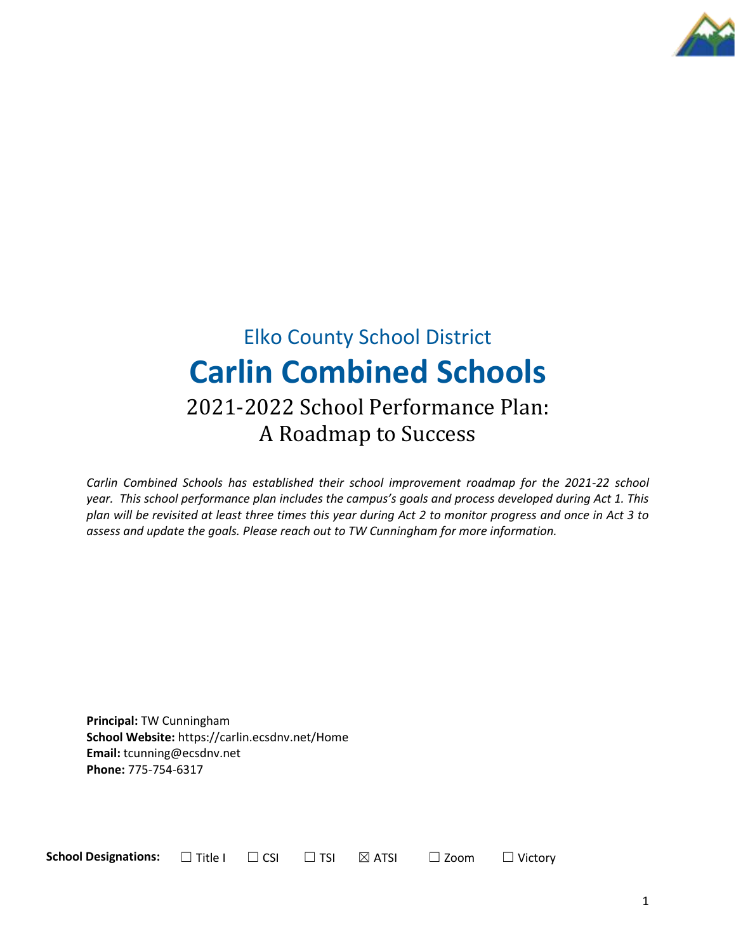

# Elko County School District **Carlin Combined Schools** 2021-2022 School Performance Plan: A Roadmap to Success

*Carlin Combined Schools has established their school improvement roadmap for the 2021-22 school year. This school performance plan includes the campus's goals and process developed during Act 1. This plan will be revisited at least three times this year during Act 2 to monitor progress and once in Act 3 to assess and update the goals. Please reach out to TW Cunningham for more information.*

**Principal:** TW Cunningham **School Website:** https://carlin.ecsdnv.net/Home **Email:** tcunning@ecsdnv.net **Phone:** 775-754-6317

**School Designations:**  $□$  Title I  $□$  CSI  $□$  TSI  $□$  ATSI  $□$  Zoom  $□$  Victory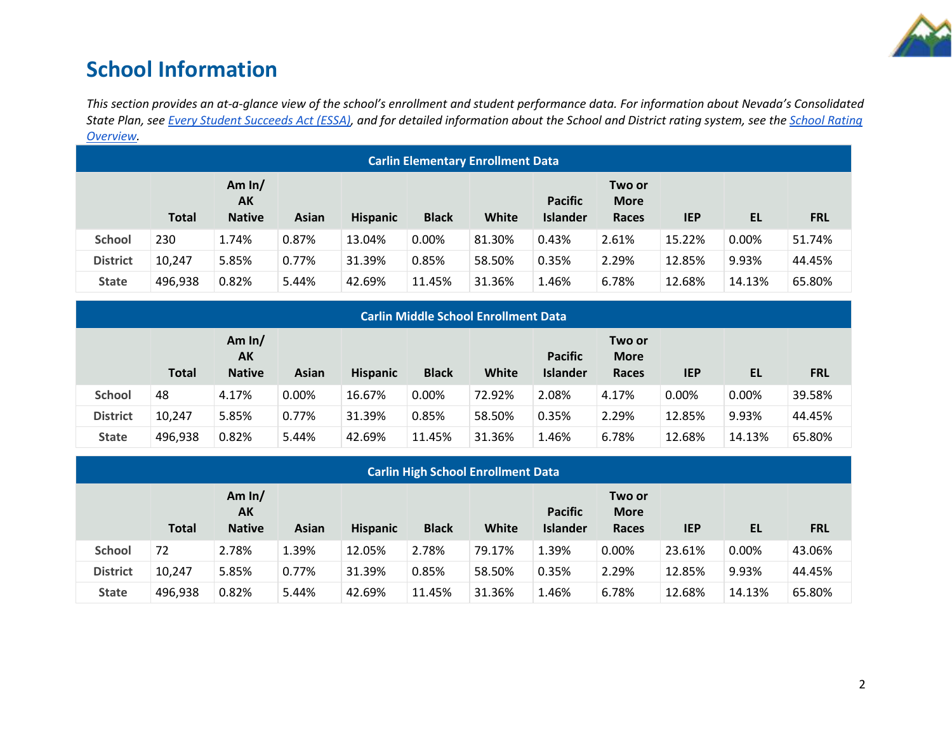

## **School Information**

*This section provides an at-a-glance view of the school's enrollment and student performance data. For information about Nevada's Consolidated State Plan, see [Every Student Succeeds Act \(ESSA\),](https://doe.nv.gov/uploadedFiles/ndedoenvgov/content/Boards_Commissions_Councils/ESSA_Adv_Group/NevadaSubmittedConsolidatedPlanFinal.pdf) and for detailed information about the School and District rating system, see the [School Rating](http://nevadareportcard.nv.gov/DI/MoreDownload?filename=Nevadas%20School%20Rating%20System.pdf)  [Overview.](http://nevadareportcard.nv.gov/DI/MoreDownload?filename=Nevadas%20School%20Rating%20System.pdf)*

|                 | <b>Carlin Elementary Enrollment Data</b> |                                        |       |                 |              |        |                                   |                                       |            |           |            |  |
|-----------------|------------------------------------------|----------------------------------------|-------|-----------------|--------------|--------|-----------------------------------|---------------------------------------|------------|-----------|------------|--|
|                 | <b>Total</b>                             | Am $ln/$<br><b>AK</b><br><b>Native</b> | Asian | <b>Hispanic</b> | <b>Black</b> | White  | <b>Pacific</b><br><b>Islander</b> | Two or<br><b>More</b><br><b>Races</b> | <b>IEP</b> | <b>EL</b> | <b>FRL</b> |  |
| <b>School</b>   | 230                                      | 1.74%                                  | 0.87% | 13.04%          | 0.00%        | 81.30% | 0.43%                             | 2.61%                                 | 15.22%     | 0.00%     | 51.74%     |  |
| <b>District</b> | 10,247                                   | 5.85%                                  | 0.77% | 31.39%          | 0.85%        | 58.50% | 0.35%                             | 2.29%                                 | 12.85%     | 9.93%     | 44.45%     |  |
| <b>State</b>    | 496,938                                  | 0.82%                                  | 5.44% | 42.69%          | 11.45%       | 31.36% | 1.46%                             | 6.78%                                 | 12.68%     | 14.13%    | 65.80%     |  |

|                 | <b>Carlin Middle School Enrollment Data</b> |                                 |              |                 |              |        |                                   |                                |            |        |            |  |
|-----------------|---------------------------------------------|---------------------------------|--------------|-----------------|--------------|--------|-----------------------------------|--------------------------------|------------|--------|------------|--|
|                 | <b>Total</b>                                | Am $ln/$<br>AK<br><b>Native</b> | <b>Asian</b> | <b>Hispanic</b> | <b>Black</b> | White  | <b>Pacific</b><br><b>Islander</b> | Two or<br><b>More</b><br>Races | <b>IEP</b> | EL     | <b>FRL</b> |  |
| <b>School</b>   | 48                                          | 4.17%                           | 0.00%        | 16.67%          | $0.00\%$     | 72.92% | 2.08%                             | 4.17%                          | 0.00%      | 0.00%  | 39.58%     |  |
| <b>District</b> | 10,247                                      | 5.85%                           | 0.77%        | 31.39%          | 0.85%        | 58.50% | 0.35%                             | 2.29%                          | 12.85%     | 9.93%  | 44.45%     |  |
| <b>State</b>    | 496,938                                     | 0.82%                           | 5.44%        | 42.69%          | 11.45%       | 31.36% | 1.46%                             | 6.78%                          | 12.68%     | 14.13% | 65.80%     |  |

|                 | <b>Carlin High School Enrollment Data</b> |                                 |       |                 |              |        |                                   |                                |            |        |            |  |
|-----------------|-------------------------------------------|---------------------------------|-------|-----------------|--------------|--------|-----------------------------------|--------------------------------|------------|--------|------------|--|
|                 | <b>Total</b>                              | Am $ln/$<br>AK<br><b>Native</b> | Asian | <b>Hispanic</b> | <b>Black</b> | White  | <b>Pacific</b><br><b>Islander</b> | Two or<br><b>More</b><br>Races | <b>IEP</b> | EL     | <b>FRL</b> |  |
| <b>School</b>   | 72                                        | 2.78%                           | 1.39% | 12.05%          | 2.78%        | 79.17% | 1.39%                             | 0.00%                          | 23.61%     | 0.00%  | 43.06%     |  |
| <b>District</b> | 10,247                                    | 5.85%                           | 0.77% | 31.39%          | 0.85%        | 58.50% | 0.35%                             | 2.29%                          | 12.85%     | 9.93%  | 44.45%     |  |
| <b>State</b>    | 496,938                                   | 0.82%                           | 5.44% | 42.69%          | 11.45%       | 31.36% | 1.46%                             | 6.78%                          | 12.68%     | 14.13% | 65.80%     |  |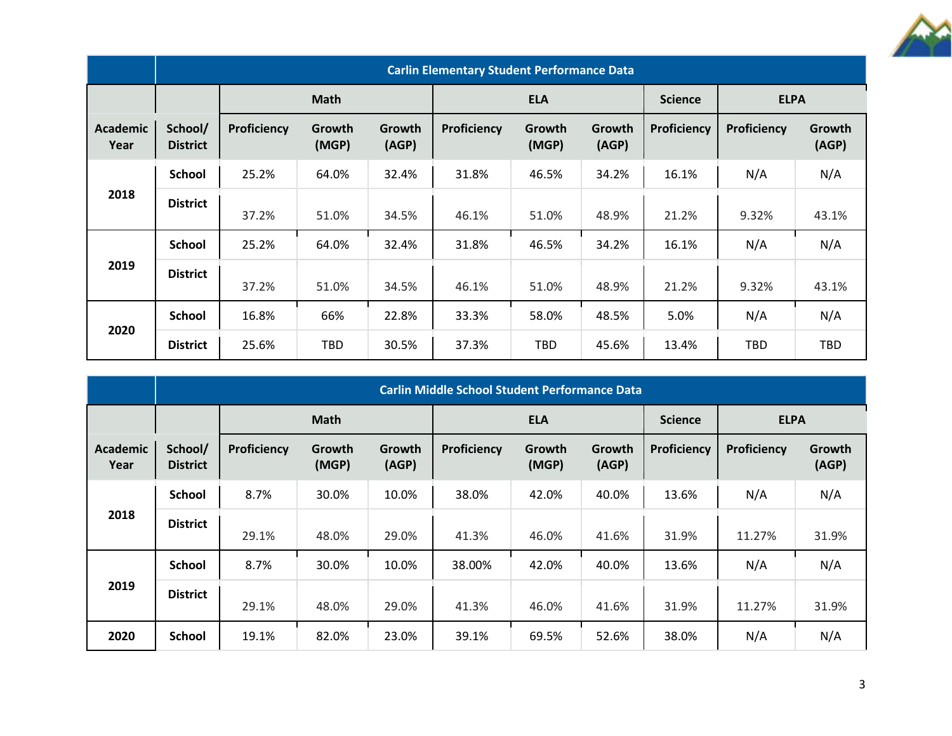

|                         | <b>Carlin Elementary Student Performance Data</b> |             |                 |                 |             |                 |                 |             |                    |                 |  |  |  |
|-------------------------|---------------------------------------------------|-------------|-----------------|-----------------|-------------|-----------------|-----------------|-------------|--------------------|-----------------|--|--|--|
|                         |                                                   |             | <b>Math</b>     |                 | <b>ELA</b>  |                 |                 | <b>ELPA</b> |                    |                 |  |  |  |
| <b>Academic</b><br>Year | School/<br><b>District</b>                        | Proficiency | Growth<br>(MGP) | Growth<br>(AGP) | Proficiency | Growth<br>(MGP) | Growth<br>(AGP) | Proficiency | <b>Proficiency</b> | Growth<br>(AGP) |  |  |  |
|                         | <b>School</b>                                     | 25.2%       | 64.0%           | 32.4%           | 31.8%       | 46.5%           | 34.2%           | 16.1%       | N/A                | N/A             |  |  |  |
| 2018                    | <b>District</b>                                   | 37.2%       | 51.0%           | 34.5%           | 46.1%       | 51.0%           | 48.9%           | 21.2%       | 9.32%              | 43.1%           |  |  |  |
|                         | <b>School</b>                                     | 25.2%       | 64.0%           | 32.4%           | 31.8%       | 46.5%           | 34.2%           | 16.1%       | N/A                | N/A             |  |  |  |
| 2019                    | <b>District</b>                                   | 37.2%       | 51.0%           | 34.5%           | 46.1%       | 51.0%           | 48.9%           | 21.2%       | 9.32%              | 43.1%           |  |  |  |
|                         | <b>School</b>                                     | 16.8%       | 66%             | 22.8%           | 33.3%       | 58.0%           | 48.5%           | 5.0%        | N/A                | N/A             |  |  |  |
| 2020                    | <b>District</b>                                   | 25.6%       | TBD             | 30.5%           | 37.3%       | <b>TBD</b>      | 45.6%           | 13.4%       | TBD                | TBD             |  |  |  |

|                         | <b>Carlin Middle School Student Performance Data</b> |             |                 |                 |             |                 |                 |             |             |                 |  |  |
|-------------------------|------------------------------------------------------|-------------|-----------------|-----------------|-------------|-----------------|-----------------|-------------|-------------|-----------------|--|--|
|                         |                                                      |             | <b>Math</b>     |                 |             | <b>ELA</b>      |                 |             | <b>ELPA</b> |                 |  |  |
| <b>Academic</b><br>Year | School/<br><b>District</b>                           | Proficiency | Growth<br>(MGP) | Growth<br>(AGP) | Proficiency | Growth<br>(MGP) | Growth<br>(AGP) | Proficiency | Proficiency | Growth<br>(AGP) |  |  |
|                         | <b>School</b>                                        | 8.7%        | 30.0%           | 10.0%           | 38.0%       | 42.0%           | 40.0%           | 13.6%       | N/A         | N/A             |  |  |
| 2018                    | <b>District</b>                                      | 29.1%       | 48.0%           | 29.0%           | 41.3%       | 46.0%           | 41.6%           | 31.9%       | 11.27%      | 31.9%           |  |  |
|                         | <b>School</b>                                        | 8.7%        | 30.0%           | 10.0%           | 38.00%      | 42.0%           | 40.0%           | 13.6%       | N/A         | N/A             |  |  |
| 2019                    | <b>District</b>                                      | 29.1%       | 48.0%           | 29.0%           | 41.3%       | 46.0%           | 41.6%           | 31.9%       | 11.27%      | 31.9%           |  |  |
| 2020                    | <b>School</b>                                        | 19.1%       | 82.0%           | 23.0%           | 39.1%       | 69.5%           | 52.6%           | 38.0%       | N/A         | N/A             |  |  |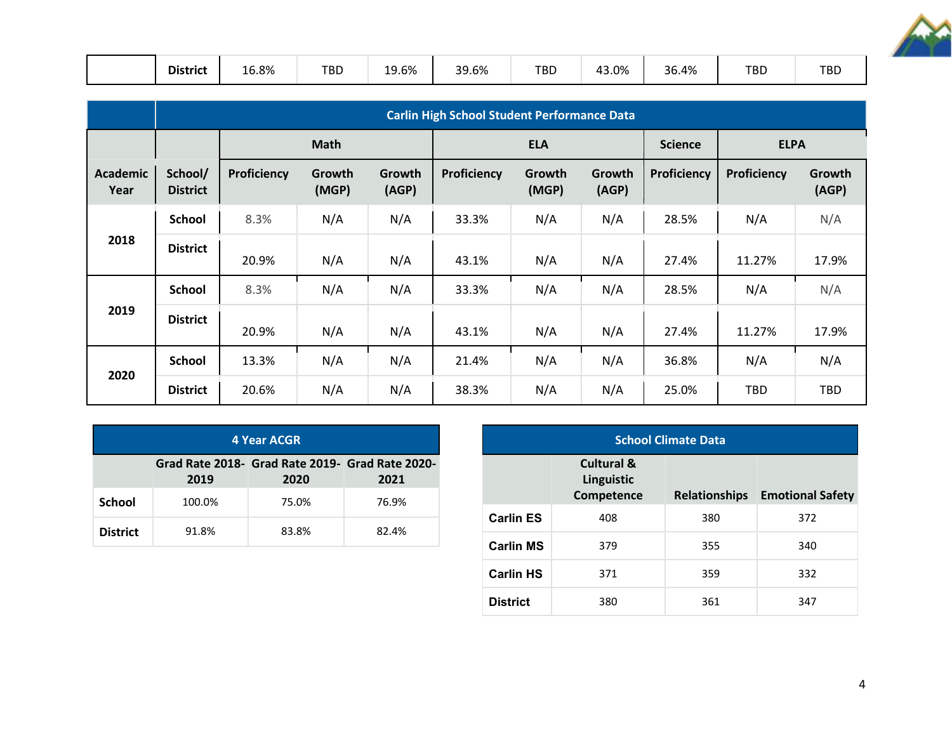

|  | <b>District</b> | 16.8%<br>____ | <b>TBD</b> | 10 20/<br>19.6% | 39.6% | TBD | 3.0%،<br>4 | 36.4% | <b>TBD</b> | <b>TBD</b> |
|--|-----------------|---------------|------------|-----------------|-------|-----|------------|-------|------------|------------|
|--|-----------------|---------------|------------|-----------------|-------|-----|------------|-------|------------|------------|

|                         | <b>Carlin High School Student Performance Data</b> |             |                 |                 |             |                 |                 |                    |             |                 |  |  |  |
|-------------------------|----------------------------------------------------|-------------|-----------------|-----------------|-------------|-----------------|-----------------|--------------------|-------------|-----------------|--|--|--|
|                         |                                                    |             | <b>Math</b>     |                 |             | <b>ELA</b>      |                 |                    | <b>ELPA</b> |                 |  |  |  |
| <b>Academic</b><br>Year | School/<br><b>District</b>                         | Proficiency | Growth<br>(MGP) | Growth<br>(AGP) | Proficiency | Growth<br>(MGP) | Growth<br>(AGP) | <b>Proficiency</b> | Proficiency | Growth<br>(AGP) |  |  |  |
|                         | <b>School</b>                                      | 8.3%        | N/A             | N/A             | 33.3%       | N/A             | N/A             | 28.5%              | N/A         | N/A             |  |  |  |
| 2018                    | <b>District</b>                                    | 20.9%       | N/A             | N/A             | 43.1%       | N/A             | N/A             | 27.4%              | 11.27%      | 17.9%           |  |  |  |
|                         | <b>School</b>                                      | 8.3%        | N/A             | N/A             | 33.3%       | N/A             | N/A             | 28.5%              | N/A         | N/A             |  |  |  |
| 2019                    | <b>District</b>                                    | 20.9%       | N/A             | N/A             | 43.1%       | N/A             | N/A             | 27.4%              | 11.27%      | 17.9%           |  |  |  |
| 2020                    | <b>School</b>                                      | 13.3%       | N/A             | N/A             | 21.4%       | N/A             | N/A             | 36.8%              | N/A         | N/A             |  |  |  |
|                         | <b>District</b>                                    | 20.6%       | N/A             | N/A             | 38.3%       | N/A             | N/A             | 25.0%              | <b>TBD</b>  | <b>TBD</b>      |  |  |  |

|                                                                         | <b>4 Year ACGR</b> |       |       |  |  |  |  |  |  |  |  |
|-------------------------------------------------------------------------|--------------------|-------|-------|--|--|--|--|--|--|--|--|
| Grad Rate 2018- Grad Rate 2019- Grad Rate 2020-<br>2019<br>2020<br>2021 |                    |       |       |  |  |  |  |  |  |  |  |
| <b>School</b>                                                           | 100.0%             | 75.0% | 76.9% |  |  |  |  |  |  |  |  |
| <b>District</b>                                                         | 91.8%              | 83.8% | 82.4% |  |  |  |  |  |  |  |  |

| <b>School Climate Data</b> |                                                   |                      |                         |  |  |  |  |  |  |  |
|----------------------------|---------------------------------------------------|----------------------|-------------------------|--|--|--|--|--|--|--|
|                            | <b>Cultural &amp;</b><br>Linguistic<br>Competence | <b>Relationships</b> | <b>Emotional Safety</b> |  |  |  |  |  |  |  |
| <b>Carlin ES</b>           | 408                                               | 380                  | 372                     |  |  |  |  |  |  |  |
| <b>Carlin MS</b>           | 379                                               | 355                  | 340                     |  |  |  |  |  |  |  |
| <b>Carlin HS</b>           | 371                                               | 359                  | 332                     |  |  |  |  |  |  |  |
| <b>District</b>            | 380                                               | 361                  | 347                     |  |  |  |  |  |  |  |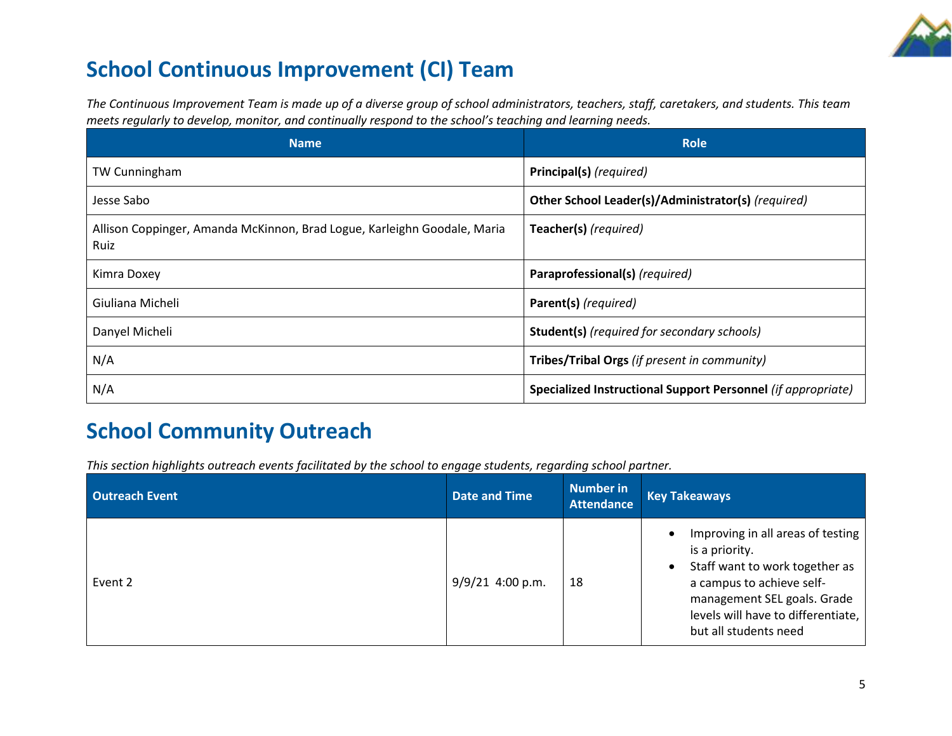

## **School Continuous Improvement (CI) Team**

*The Continuous Improvement Team is made up of a diverse group of school administrators, teachers, staff, caretakers, and students. This team meets regularly to develop, monitor, and continually respond to the school's teaching and learning needs.*

| <b>Name</b>                                                                      | <b>Role</b>                                                  |
|----------------------------------------------------------------------------------|--------------------------------------------------------------|
| <b>TW Cunningham</b>                                                             | Principal(s) (required)                                      |
| Jesse Sabo                                                                       | Other School Leader(s)/Administrator(s) (required)           |
| Allison Coppinger, Amanda McKinnon, Brad Logue, Karleighn Goodale, Maria<br>Ruiz | Teacher(s) (required)                                        |
| Kimra Doxey                                                                      | Paraprofessional(s) (required)                               |
| Giuliana Micheli                                                                 | Parent(s) (required)                                         |
| Danyel Micheli                                                                   | <b>Student(s)</b> (required for secondary schools)           |
| N/A                                                                              | Tribes/Tribal Orgs (if present in community)                 |
| N/A                                                                              | Specialized Instructional Support Personnel (if appropriate) |

## **School Community Outreach**

*This section highlights outreach events facilitated by the school to engage students, regarding school partner.* 

| <b>Outreach Event</b> | <b>Date and Time</b> | Number in<br><b>Attendance</b> | <b>Key Takeaways</b>                                                                                                                                                                                             |
|-----------------------|----------------------|--------------------------------|------------------------------------------------------------------------------------------------------------------------------------------------------------------------------------------------------------------|
| Event 2               | $9/9/21$ 4:00 p.m.   | 18                             | Improving in all areas of testing<br>is a priority.<br>Staff want to work together as<br>a campus to achieve self-<br>management SEL goals. Grade<br>levels will have to differentiate,<br>but all students need |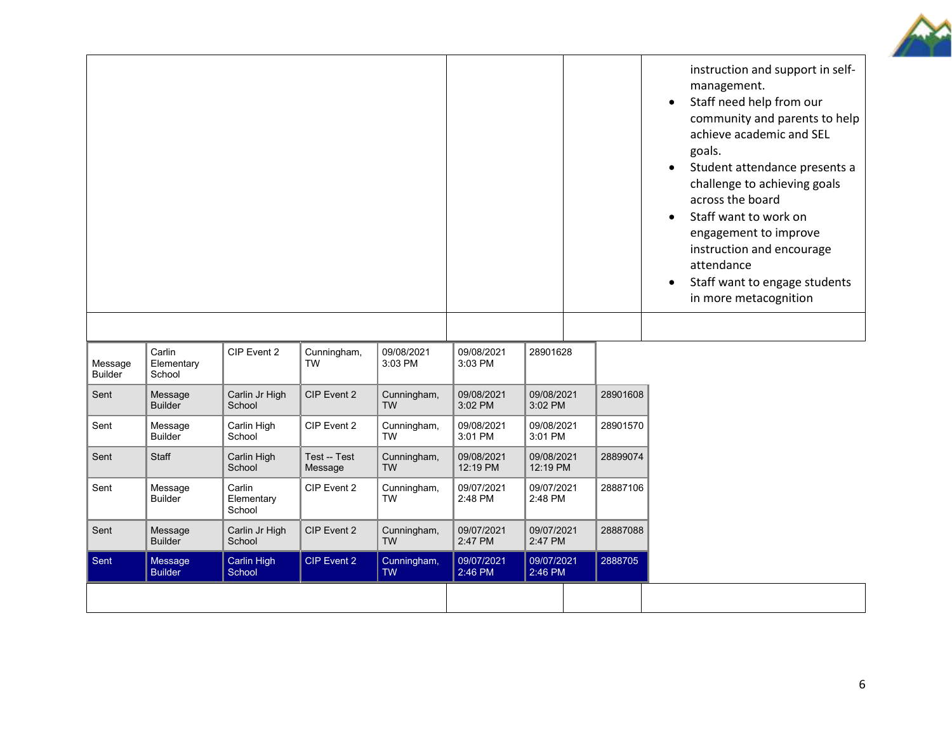

|                           |                                |                                |                          |                          |                        |                        |          | $\bullet$<br>$\bullet$<br>$\bullet$<br>$\bullet$ | instruction and support in self-<br>management.<br>Staff need help from our<br>community and parents to help<br>achieve academic and SEL<br>goals.<br>Student attendance presents a<br>challenge to achieving goals<br>across the board<br>Staff want to work on<br>engagement to improve<br>instruction and encourage<br>attendance<br>Staff want to engage students<br>in more metacognition |
|---------------------------|--------------------------------|--------------------------------|--------------------------|--------------------------|------------------------|------------------------|----------|--------------------------------------------------|------------------------------------------------------------------------------------------------------------------------------------------------------------------------------------------------------------------------------------------------------------------------------------------------------------------------------------------------------------------------------------------------|
| Message<br><b>Builder</b> | Carlin<br>Elementary<br>School | CIP Event 2                    | Cunningham,<br><b>TW</b> | 09/08/2021<br>3:03 PM    | 09/08/2021<br>3:03 PM  | 28901628               |          |                                                  |                                                                                                                                                                                                                                                                                                                                                                                                |
| Sent                      | Message<br><b>Builder</b>      | Carlin Jr High<br>School       | CIP Event 2              | Cunningham,<br><b>TW</b> | 09/08/2021<br>3:02 PM  | 09/08/2021<br>3:02 PM  | 28901608 |                                                  |                                                                                                                                                                                                                                                                                                                                                                                                |
| Sent                      | Message<br><b>Builder</b>      | Carlin High<br>School          | CIP Event 2              | Cunningham,<br><b>TW</b> | 09/08/2021<br>3:01 PM  | 09/08/2021<br>3:01 PM  | 28901570 |                                                  |                                                                                                                                                                                                                                                                                                                                                                                                |
| Sent                      | Staff                          | Carlin High<br>School          | Test -- Test<br>Message  | Cunningham,<br><b>TW</b> | 09/08/2021<br>12:19 PM | 09/08/2021<br>12:19 PM | 28899074 |                                                  |                                                                                                                                                                                                                                                                                                                                                                                                |
| Sent                      | Message<br><b>Builder</b>      | Carlin<br>Elementary<br>School | CIP Event 2              | Cunningham,<br><b>TW</b> | 09/07/2021<br>2:48 PM  | 09/07/2021<br>2:48 PM  | 28887106 |                                                  |                                                                                                                                                                                                                                                                                                                                                                                                |
| Sent                      | Message<br><b>Builder</b>      | Carlin Jr High<br>School       | CIP Event 2              | Cunningham,<br><b>TW</b> | 09/07/2021<br>2:47 PM  | 09/07/2021<br>2:47 PM  | 28887088 |                                                  |                                                                                                                                                                                                                                                                                                                                                                                                |
| Sent                      | Message<br><b>Builder</b>      | Carlin High<br><b>School</b>   | <b>CIP Event 2</b>       | Cunningham,<br><b>TW</b> | 09/07/2021<br>2:46 PM  | 09/07/2021<br>2:46 PM  | 2888705  |                                                  |                                                                                                                                                                                                                                                                                                                                                                                                |
|                           |                                |                                |                          |                          |                        |                        |          |                                                  |                                                                                                                                                                                                                                                                                                                                                                                                |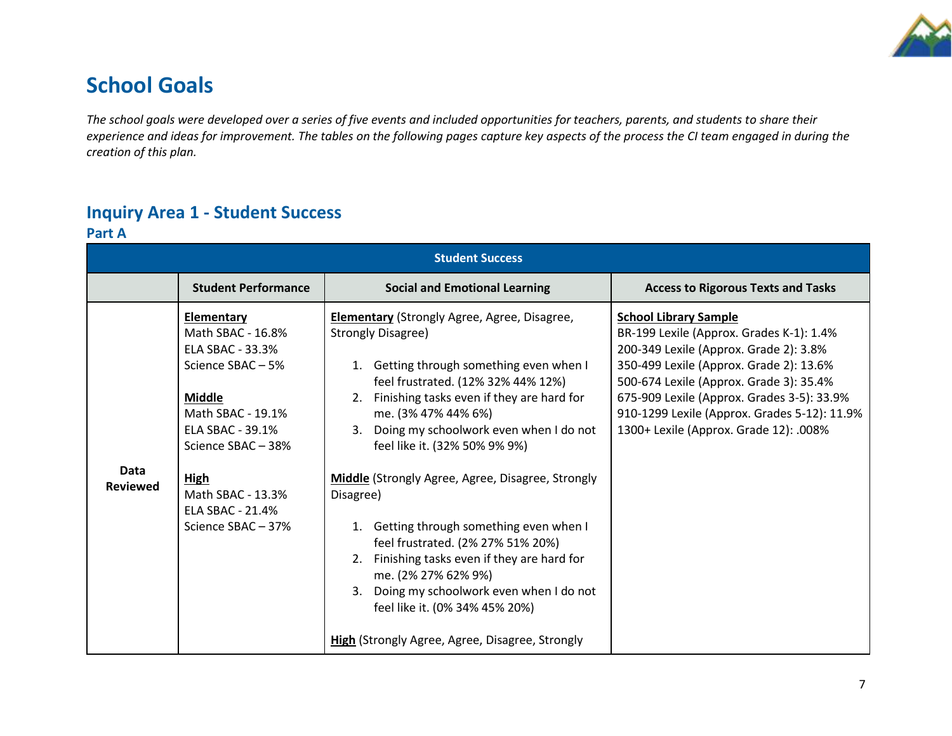

## **School Goals**

*The school goals were developed over a series of five events and included opportunities for teachers, parents, and students to share their experience and ideas for improvement. The tables on the following pages capture key aspects of the process the CI team engaged in during the creation of this plan.* 

## **Inquiry Area 1 - Student Success**

**Part A**

| <b>Student Success</b>  |                                                                                                                                                                                                                                         |                                                                                                                                                                                                                                                                                                                                                                                                                                                                                                                                                                                                                                                                                     |                                                                                                                                                                                                                                                                                                                                                  |  |
|-------------------------|-----------------------------------------------------------------------------------------------------------------------------------------------------------------------------------------------------------------------------------------|-------------------------------------------------------------------------------------------------------------------------------------------------------------------------------------------------------------------------------------------------------------------------------------------------------------------------------------------------------------------------------------------------------------------------------------------------------------------------------------------------------------------------------------------------------------------------------------------------------------------------------------------------------------------------------------|--------------------------------------------------------------------------------------------------------------------------------------------------------------------------------------------------------------------------------------------------------------------------------------------------------------------------------------------------|--|
|                         | <b>Student Performance</b>                                                                                                                                                                                                              | <b>Social and Emotional Learning</b>                                                                                                                                                                                                                                                                                                                                                                                                                                                                                                                                                                                                                                                | <b>Access to Rigorous Texts and Tasks</b>                                                                                                                                                                                                                                                                                                        |  |
| Data<br><b>Reviewed</b> | <b>Elementary</b><br>Math SBAC - 16.8%<br>ELA SBAC - 33.3%<br>Science SBAC-5%<br><b>Middle</b><br>Math SBAC - 19.1%<br>ELA SBAC - 39.1%<br>Science SBAC-38%<br><b>High</b><br>Math SBAC - 13.3%<br>ELA SBAC - 21.4%<br>Science SBAC-37% | <b>Elementary</b> (Strongly Agree, Agree, Disagree,<br><b>Strongly Disagree)</b><br>1. Getting through something even when I<br>feel frustrated. (12% 32% 44% 12%)<br>2. Finishing tasks even if they are hard for<br>me. (3% 47% 44% 6%)<br>3. Doing my schoolwork even when I do not<br>feel like it. (32% 50% 9% 9%)<br>Middle (Strongly Agree, Agree, Disagree, Strongly<br>Disagree)<br>1. Getting through something even when I<br>feel frustrated. (2% 27% 51% 20%)<br>2. Finishing tasks even if they are hard for<br>me. (2% 27% 62% 9%)<br>3. Doing my schoolwork even when I do not<br>feel like it. (0% 34% 45% 20%)<br>High (Strongly Agree, Agree, Disagree, Strongly | <b>School Library Sample</b><br>BR-199 Lexile (Approx. Grades K-1): 1.4%<br>200-349 Lexile (Approx. Grade 2): 3.8%<br>350-499 Lexile (Approx. Grade 2): 13.6%<br>500-674 Lexile (Approx. Grade 3): 35.4%<br>675-909 Lexile (Approx. Grades 3-5): 33.9%<br>910-1299 Lexile (Approx. Grades 5-12): 11.9%<br>1300+ Lexile (Approx. Grade 12): .008% |  |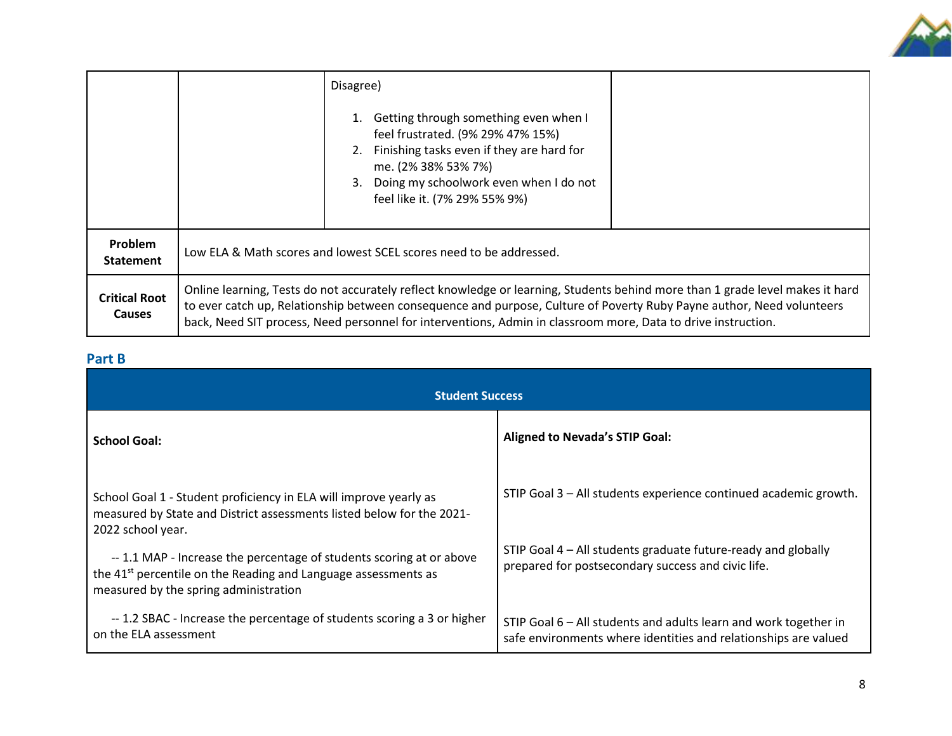

|                                       |                                                                                                                                                                                                                                                                                                                                                                         | Disagree)<br>Getting through something even when I<br>feel frustrated. (9% 29% 47% 15%)<br>Finishing tasks even if they are hard for<br>2.<br>me. (2% 38% 53% 7%)<br>Doing my schoolwork even when I do not<br>3.<br>feel like it. (7% 29% 55% 9%) |  |
|---------------------------------------|-------------------------------------------------------------------------------------------------------------------------------------------------------------------------------------------------------------------------------------------------------------------------------------------------------------------------------------------------------------------------|----------------------------------------------------------------------------------------------------------------------------------------------------------------------------------------------------------------------------------------------------|--|
| Problem<br><b>Statement</b>           |                                                                                                                                                                                                                                                                                                                                                                         | Low ELA & Math scores and lowest SCEL scores need to be addressed.                                                                                                                                                                                 |  |
| <b>Critical Root</b><br><b>Causes</b> | Online learning, Tests do not accurately reflect knowledge or learning, Students behind more than 1 grade level makes it hard<br>to ever catch up, Relationship between consequence and purpose, Culture of Poverty Ruby Payne author, Need volunteers<br>back, Need SIT process, Need personnel for interventions, Admin in classroom more, Data to drive instruction. |                                                                                                                                                                                                                                                    |  |

#### **Part B**

| <b>Student Success</b>                                                                                                                                                                                                                                                                                                                                         |                                                                                                                                                                                         |  |  |
|----------------------------------------------------------------------------------------------------------------------------------------------------------------------------------------------------------------------------------------------------------------------------------------------------------------------------------------------------------------|-----------------------------------------------------------------------------------------------------------------------------------------------------------------------------------------|--|--|
| <b>School Goal:</b>                                                                                                                                                                                                                                                                                                                                            | <b>Aligned to Nevada's STIP Goal:</b>                                                                                                                                                   |  |  |
| School Goal 1 - Student proficiency in ELA will improve yearly as<br>measured by State and District assessments listed below for the 2021-<br>2022 school year.<br>-- 1.1 MAP - Increase the percentage of students scoring at or above<br>the 41 <sup>st</sup> percentile on the Reading and Language assessments as<br>measured by the spring administration | STIP Goal 3 - All students experience continued academic growth.<br>STIP Goal 4 – All students graduate future-ready and globally<br>prepared for postsecondary success and civic life. |  |  |
| -- 1.2 SBAC - Increase the percentage of students scoring a 3 or higher<br>on the ELA assessment                                                                                                                                                                                                                                                               | STIP Goal 6 – All students and adults learn and work together in<br>safe environments where identities and relationships are valued                                                     |  |  |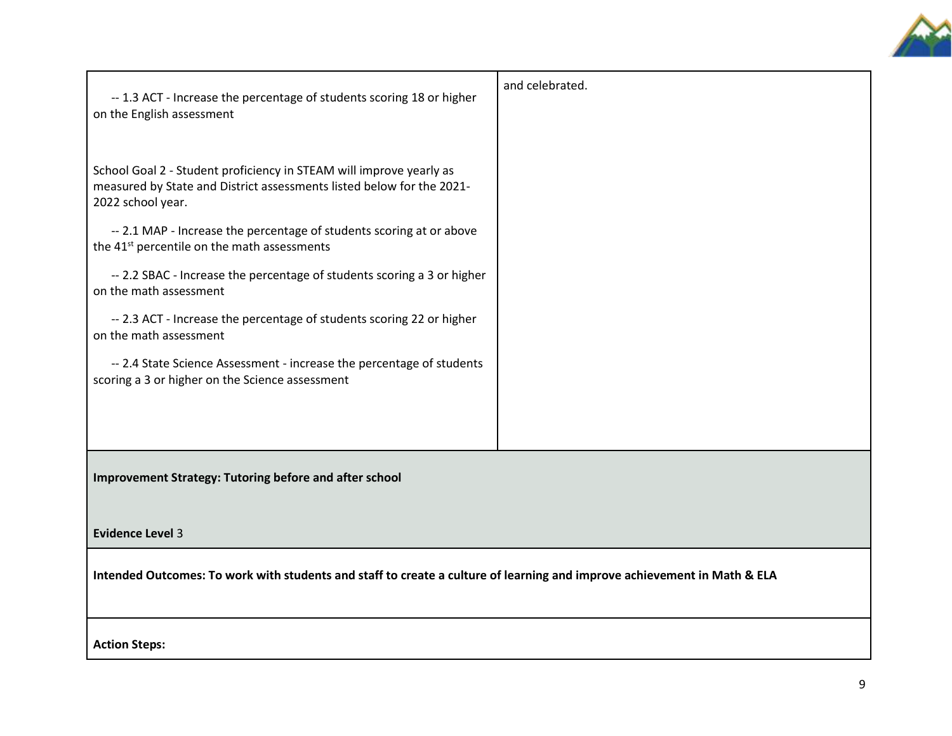

| -- 1.3 ACT - Increase the percentage of students scoring 18 or higher<br>on the English assessment                                                                | and celebrated. |  |
|-------------------------------------------------------------------------------------------------------------------------------------------------------------------|-----------------|--|
| School Goal 2 - Student proficiency in STEAM will improve yearly as<br>measured by State and District assessments listed below for the 2021-<br>2022 school year. |                 |  |
| -- 2.1 MAP - Increase the percentage of students scoring at or above<br>the 41 <sup>st</sup> percentile on the math assessments                                   |                 |  |
| -- 2.2 SBAC - Increase the percentage of students scoring a 3 or higher<br>on the math assessment                                                                 |                 |  |
| -- 2.3 ACT - Increase the percentage of students scoring 22 or higher<br>on the math assessment                                                                   |                 |  |
| -- 2.4 State Science Assessment - increase the percentage of students<br>scoring a 3 or higher on the Science assessment                                          |                 |  |
|                                                                                                                                                                   |                 |  |
| <b>Improvement Strategy: Tutoring before and after school</b>                                                                                                     |                 |  |
| <b>Evidence Level 3</b>                                                                                                                                           |                 |  |
| Intended Outcomes: To work with students and staff to create a culture of learning and improve achievement in Math & ELA                                          |                 |  |
| <b>Action Steps:</b>                                                                                                                                              |                 |  |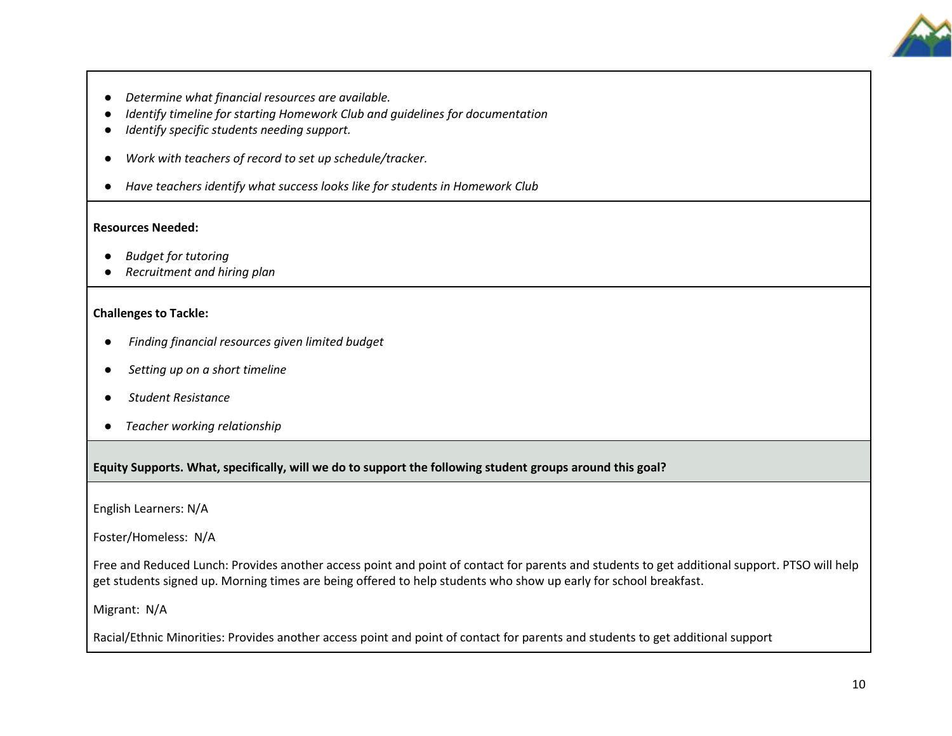

- *Determine what financial resources are available.*
- *Identify timeline for starting Homework Club and guidelines for documentation*
- *Identify specific students needing support.*
- *Work with teachers of record to set up schedule/tracker.*
- *Have teachers identify what success looks like for students in Homework Club*

#### **Resources Needed:**

- *Budget for tutoring*
- *Recruitment and hiring plan*

#### **Challenges to Tackle:**

- *Finding financial resources given limited budget*
- *Setting up on a short timeline*
- *Student Resistance*
- *Teacher working relationship*

**Equity Supports. What, specifically, will we do to support the following student groups around this goal?**

English Learners: N/A

Foster/Homeless: N/A

Free and Reduced Lunch: Provides another access point and point of contact for parents and students to get additional support. PTSO will help get students signed up. Morning times are being offered to help students who show up early for school breakfast.

Migrant: N/A

Racial/Ethnic Minorities: Provides another access point and point of contact for parents and students to get additional support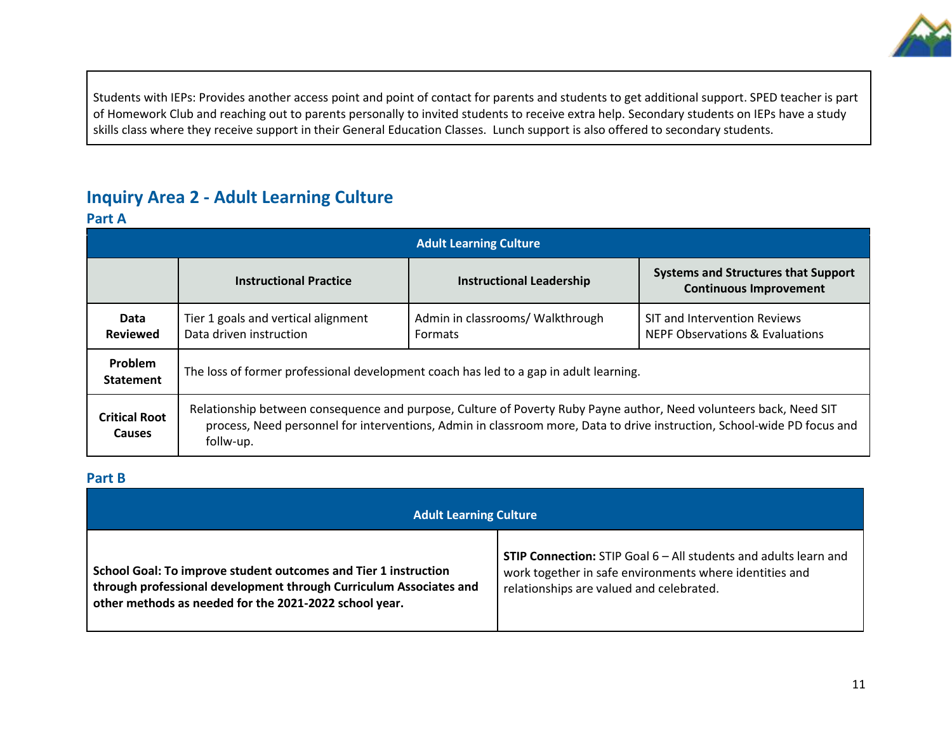

Students with IEPs: Provides another access point and point of contact for parents and students to get additional support. SPED teacher is part of Homework Club and reaching out to parents personally to invited students to receive extra help. Secondary students on IEPs have a study skills class where they receive support in their General Education Classes. Lunch support is also offered to secondary students.

### **Inquiry Area 2 - Adult Learning Culture**

#### **Part A**

| <b>Adult Learning Culture</b>         |                                                                                                                                                                                                                                                            |                                                    |                                                                             |  |
|---------------------------------------|------------------------------------------------------------------------------------------------------------------------------------------------------------------------------------------------------------------------------------------------------------|----------------------------------------------------|-----------------------------------------------------------------------------|--|
|                                       | <b>Instructional Practice</b>                                                                                                                                                                                                                              | <b>Instructional Leadership</b>                    | <b>Systems and Structures that Support</b><br><b>Continuous Improvement</b> |  |
| Data<br><b>Reviewed</b>               | Tier 1 goals and vertical alignment<br>Data driven instruction                                                                                                                                                                                             | Admin in classrooms/ Walkthrough<br><b>Formats</b> | SIT and Intervention Reviews<br><b>NEPF Observations &amp; Evaluations</b>  |  |
| <b>Problem</b><br><b>Statement</b>    | The loss of former professional development coach has led to a gap in adult learning.                                                                                                                                                                      |                                                    |                                                                             |  |
| <b>Critical Root</b><br><b>Causes</b> | Relationship between consequence and purpose, Culture of Poverty Ruby Payne author, Need volunteers back, Need SIT<br>process, Need personnel for interventions, Admin in classroom more, Data to drive instruction, School-wide PD focus and<br>follw-up. |                                                    |                                                                             |  |

#### **Part B**

| <b>Adult Learning Culture</b>                                      |                                                                         |  |  |
|--------------------------------------------------------------------|-------------------------------------------------------------------------|--|--|
| School Goal: To improve student outcomes and Tier 1 instruction    | <b>STIP Connection:</b> STIP Goal 6 – All students and adults learn and |  |  |
| through professional development through Curriculum Associates and | work together in safe environments where identities and                 |  |  |
| other methods as needed for the 2021-2022 school year.             | relationships are valued and celebrated.                                |  |  |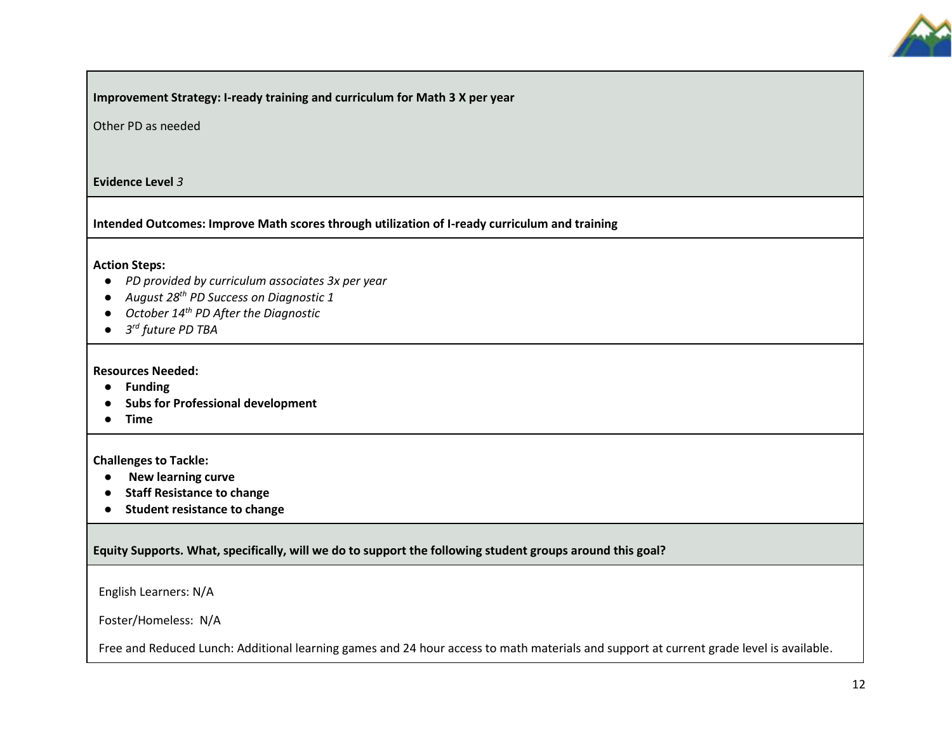

**Improvement Strategy: I-ready training and curriculum for Math 3 X per year**

Other PD as needed

**Evidence Level** *3*

**Intended Outcomes: Improve Math scores through utilization of I-ready curriculum and training**

#### **Action Steps:**

- *PD provided by curriculum associates 3x per year*
- *August 28th PD Success on Diagnostic 1*
- *October 14th PD After the Diagnostic*
- *3 rd future PD TBA*

**Resources Needed:** 

- **Funding**
- **Subs for Professional development**
- **Time**

**Challenges to Tackle:** 

- **New learning curve**
- **Staff Resistance to change**
- **Student resistance to change**

**Equity Supports. What, specifically, will we do to support the following student groups around this goal?**

English Learners: N/A

Foster/Homeless: N/A

Free and Reduced Lunch: Additional learning games and 24 hour access to math materials and support at current grade level is available.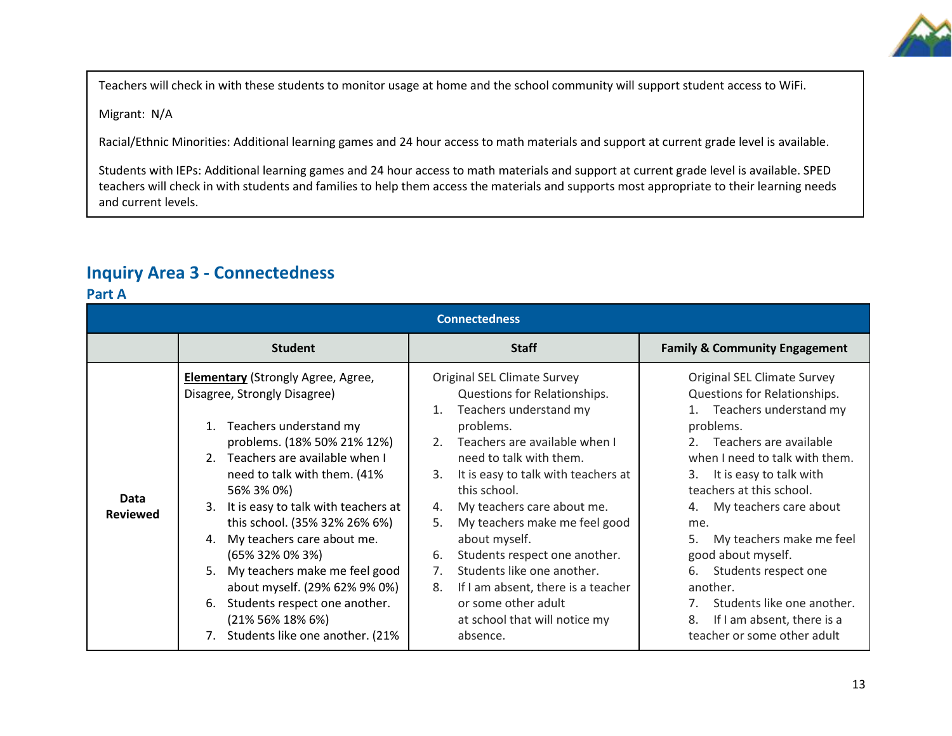

Teachers will check in with these students to monitor usage at home and the school community will support student access to WiFi.

Migrant: N/A

Racial/Ethnic Minorities: Additional learning games and 24 hour access to math materials and support at current grade level is available.

Students with IEPs: Additional learning games and 24 hour access to math materials and support at current grade level is available. SPED teachers will check in with students and families to help them access the materials and supports most appropriate to their learning needs and current levels.

### **Inquiry Area 3 - Connectedness**

**Part A**

| 191177<br><b>Connectedness</b> |                                                                                                                                                                                                                                                                                                                                                                                                                                                                                                                                    |                                                                                                                                                                                                                                                                                                                                                                                                                                                                                                                                            |                                                                                                                                                                                                                                                                                                                                                                                                                                                                       |  |  |
|--------------------------------|------------------------------------------------------------------------------------------------------------------------------------------------------------------------------------------------------------------------------------------------------------------------------------------------------------------------------------------------------------------------------------------------------------------------------------------------------------------------------------------------------------------------------------|--------------------------------------------------------------------------------------------------------------------------------------------------------------------------------------------------------------------------------------------------------------------------------------------------------------------------------------------------------------------------------------------------------------------------------------------------------------------------------------------------------------------------------------------|-----------------------------------------------------------------------------------------------------------------------------------------------------------------------------------------------------------------------------------------------------------------------------------------------------------------------------------------------------------------------------------------------------------------------------------------------------------------------|--|--|
|                                | <b>Student</b>                                                                                                                                                                                                                                                                                                                                                                                                                                                                                                                     | <b>Staff</b>                                                                                                                                                                                                                                                                                                                                                                                                                                                                                                                               | <b>Family &amp; Community Engagement</b>                                                                                                                                                                                                                                                                                                                                                                                                                              |  |  |
| Data<br><b>Reviewed</b>        | <b>Elementary</b> (Strongly Agree, Agree,<br>Disagree, Strongly Disagree)<br>Teachers understand my<br>problems. (18% 50% 21% 12%)<br>Teachers are available when I<br>2.<br>need to talk with them. (41%<br>56% 3% 0%)<br>It is easy to talk with teachers at<br>3.<br>this school. (35% 32% 26% 6%)<br>My teachers care about me.<br>4.<br>(65% 32% 0% 3%)<br>My teachers make me feel good<br>5.<br>about myself. (29% 62% 9% 0%)<br>Students respect one another.<br>6.<br>(21% 56% 18% 6%)<br>Students like one another. (21% | Original SEL Climate Survey<br>Questions for Relationships.<br>Teachers understand my<br>1.<br>problems.<br>Teachers are available when I<br>2.<br>need to talk with them.<br>It is easy to talk with teachers at<br>3.<br>this school.<br>My teachers care about me.<br>4.<br>My teachers make me feel good<br>5.<br>about myself.<br>Students respect one another.<br>6.<br>Students like one another.<br>7 <sub>1</sub><br>If I am absent, there is a teacher<br>8.<br>or some other adult<br>at school that will notice my<br>absence. | Original SEL Climate Survey<br>Questions for Relationships.<br>Teachers understand my<br>problems.<br>Teachers are available<br>when I need to talk with them.<br>It is easy to talk with<br>3.<br>teachers at this school.<br>My teachers care about<br>4.<br>me.<br>5.<br>My teachers make me feel<br>good about myself.<br>Students respect one<br>6.<br>another.<br>Students like one another.<br>If I am absent, there is a<br>8.<br>teacher or some other adult |  |  |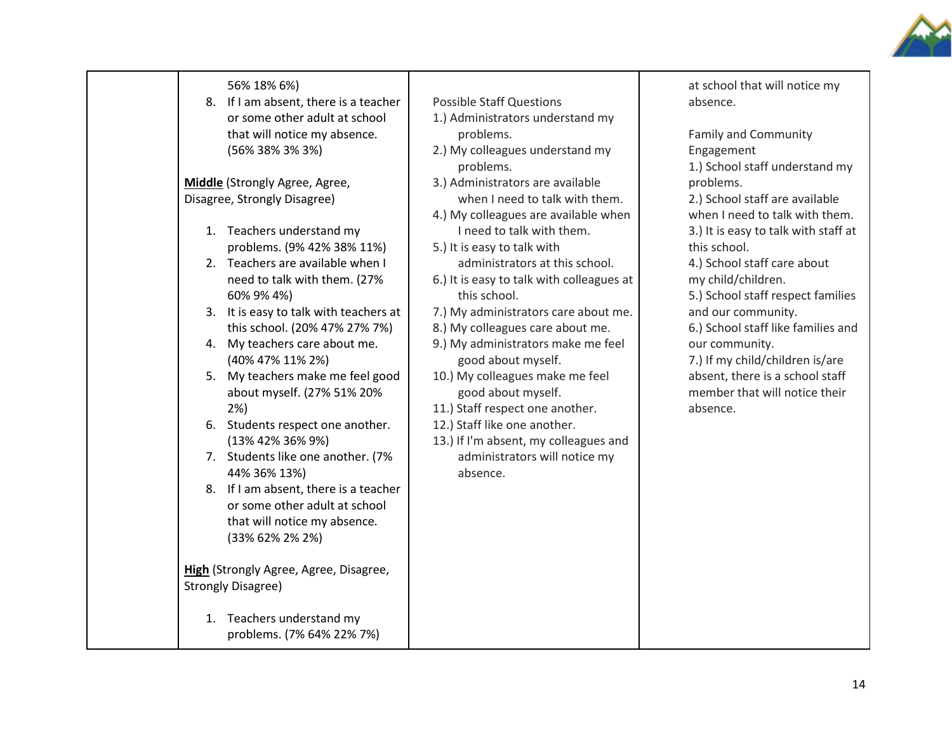

| 56% 18% 6%)<br>8. If I am absent, there is a teacher<br>or some other adult at school<br>that will notice my absence.<br>(56% 38% 3% 3%)<br>Middle (Strongly Agree, Agree,<br>Disagree, Strongly Disagree)<br>1. Teachers understand my<br>problems. (9% 42% 38% 11%)<br>2. Teachers are available when I<br>need to talk with them. (27%<br>60% 9% 4%)<br>3. It is easy to talk with teachers at<br>this school. (20% 47% 27% 7%)<br>4. My teachers care about me.<br>(40% 47% 11% 2%)<br>5. My teachers make me feel good<br>about myself. (27% 51% 20%<br>2%<br>6. Students respect one another.<br>(13% 42% 36% 9%)<br>7. Students like one another. (7%<br>44% 36% 13%)<br>8. If I am absent, there is a teacher<br>or some other adult at school<br>that will notice my absence. | <b>Possible Staff Questions</b><br>1.) Administrators understand my<br>problems.<br>2.) My colleagues understand my<br>problems.<br>3.) Administrators are available<br>when I need to talk with them.<br>4.) My colleagues are available when<br>I need to talk with them.<br>5.) It is easy to talk with<br>administrators at this school.<br>6.) It is easy to talk with colleagues at<br>this school.<br>7.) My administrators care about me.<br>8.) My colleagues care about me.<br>9.) My administrators make me feel<br>good about myself.<br>10.) My colleagues make me feel<br>good about myself.<br>11.) Staff respect one another.<br>12.) Staff like one another.<br>13.) If I'm absent, my colleagues and<br>administrators will notice my<br>absence. | at school that will notice my<br>absence.<br><b>Family and Community</b><br>Engagement<br>1.) School staff understand my<br>problems.<br>2.) School staff are available<br>when I need to talk with them.<br>3.) It is easy to talk with staff at<br>this school.<br>4.) School staff care about<br>my child/children.<br>5.) School staff respect families<br>and our community.<br>6.) School staff like families and<br>our community.<br>7.) If my child/children is/are<br>absent, there is a school staff<br>member that will notice their<br>absence. |
|----------------------------------------------------------------------------------------------------------------------------------------------------------------------------------------------------------------------------------------------------------------------------------------------------------------------------------------------------------------------------------------------------------------------------------------------------------------------------------------------------------------------------------------------------------------------------------------------------------------------------------------------------------------------------------------------------------------------------------------------------------------------------------------|---------------------------------------------------------------------------------------------------------------------------------------------------------------------------------------------------------------------------------------------------------------------------------------------------------------------------------------------------------------------------------------------------------------------------------------------------------------------------------------------------------------------------------------------------------------------------------------------------------------------------------------------------------------------------------------------------------------------------------------------------------------------|--------------------------------------------------------------------------------------------------------------------------------------------------------------------------------------------------------------------------------------------------------------------------------------------------------------------------------------------------------------------------------------------------------------------------------------------------------------------------------------------------------------------------------------------------------------|
| (33% 62% 2% 2%)<br>High (Strongly Agree, Agree, Disagree,<br><b>Strongly Disagree)</b><br>1. Teachers understand my<br>problems. (7% 64% 22% 7%)                                                                                                                                                                                                                                                                                                                                                                                                                                                                                                                                                                                                                                       |                                                                                                                                                                                                                                                                                                                                                                                                                                                                                                                                                                                                                                                                                                                                                                     |                                                                                                                                                                                                                                                                                                                                                                                                                                                                                                                                                              |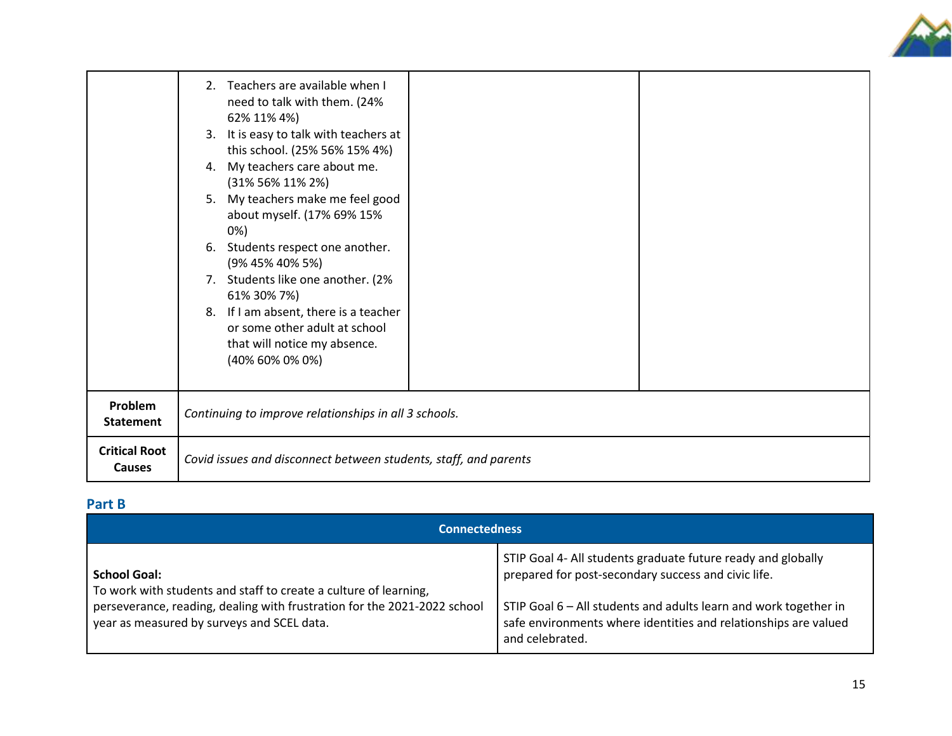

|                                       | 2. Teachers are available when I<br>need to talk with them. (24%<br>62% 11% 4%)<br>3. It is easy to talk with teachers at<br>this school. (25% 56% 15% 4%)<br>4. My teachers care about me.<br>(31% 56% 11% 2%)<br>5. My teachers make me feel good<br>about myself. (17% 69% 15%<br>0%)<br>6. Students respect one another.<br>(9% 45% 40% 5%)<br>7. Students like one another. (2%<br>61% 30% 7%)<br>8. If I am absent, there is a teacher<br>or some other adult at school<br>that will notice my absence.<br>(40% 60% 0% 0%) |  |  |
|---------------------------------------|----------------------------------------------------------------------------------------------------------------------------------------------------------------------------------------------------------------------------------------------------------------------------------------------------------------------------------------------------------------------------------------------------------------------------------------------------------------------------------------------------------------------------------|--|--|
| Problem<br><b>Statement</b>           | Continuing to improve relationships in all 3 schools.                                                                                                                                                                                                                                                                                                                                                                                                                                                                            |  |  |
| <b>Critical Root</b><br><b>Causes</b> | Covid issues and disconnect between students, staff, and parents                                                                                                                                                                                                                                                                                                                                                                                                                                                                 |  |  |

### **Part B**

| <b>Connectedness</b>                                                                                                                                                                                              |                                                                                                                                                                                                                                                                               |  |
|-------------------------------------------------------------------------------------------------------------------------------------------------------------------------------------------------------------------|-------------------------------------------------------------------------------------------------------------------------------------------------------------------------------------------------------------------------------------------------------------------------------|--|
| <b>School Goal:</b><br>To work with students and staff to create a culture of learning,<br>perseverance, reading, dealing with frustration for the 2021-2022 school<br>year as measured by surveys and SCEL data. | STIP Goal 4- All students graduate future ready and globally<br>prepared for post-secondary success and civic life.<br>STIP Goal 6 - All students and adults learn and work together in<br>safe environments where identities and relationships are valued<br>and celebrated. |  |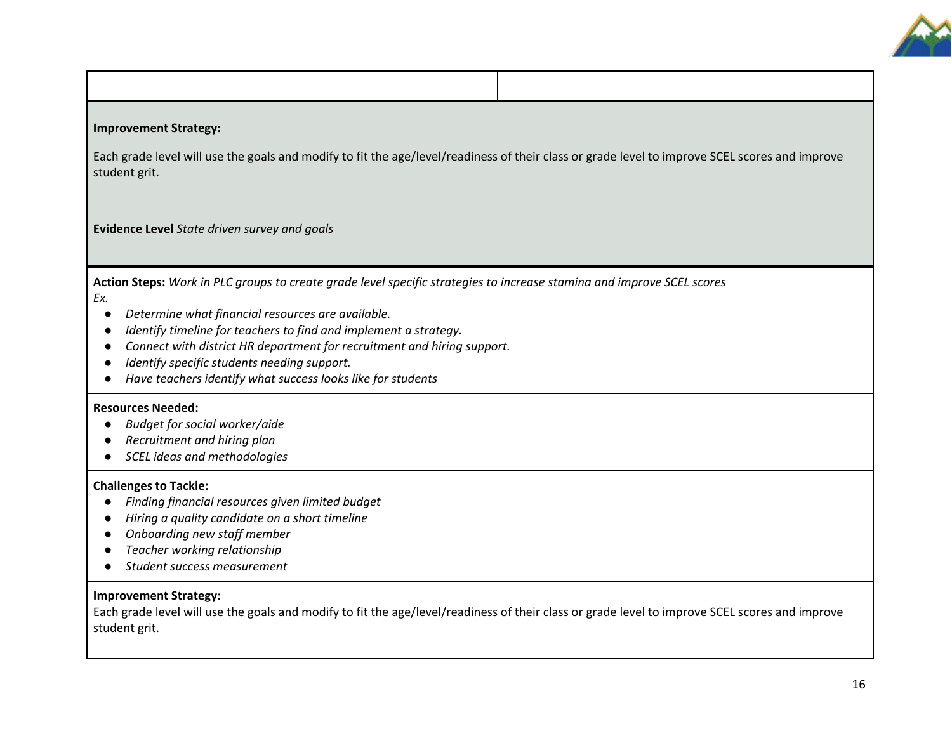

#### **Improvement Strategy:**

Each grade level will use the goals and modify to fit the age/level/readiness of their class or grade level to improve SCEL scores and improve student grit.

**Evidence Level** *State driven survey and goals*

**Action Steps:** *Work in PLC groups to create grade level specific strategies to increase stamina and improve SCEL scores Ex.*

- *Determine what financial resources are available.*
- *Identify timeline for teachers to find and implement a strategy.*
- *Connect with district HR department for recruitment and hiring support.*
- *Identify specific students needing support.*
- *Have teachers identify what success looks like for students*

#### **Resources Needed:**

- *Budget for social worker/aide*
- *Recruitment and hiring plan*
- *SCEL ideas and methodologies*

#### **Challenges to Tackle:**

- *Finding financial resources given limited budget*
- *Hiring a quality candidate on a short timeline*
- *Onboarding new staff member*
- *Teacher working relationship*
- *Student success measurement*

#### **Improvement Strategy:**

Each grade level will use the goals and modify to fit the age/level/readiness of their class or grade level to improve SCEL scores and improve student grit.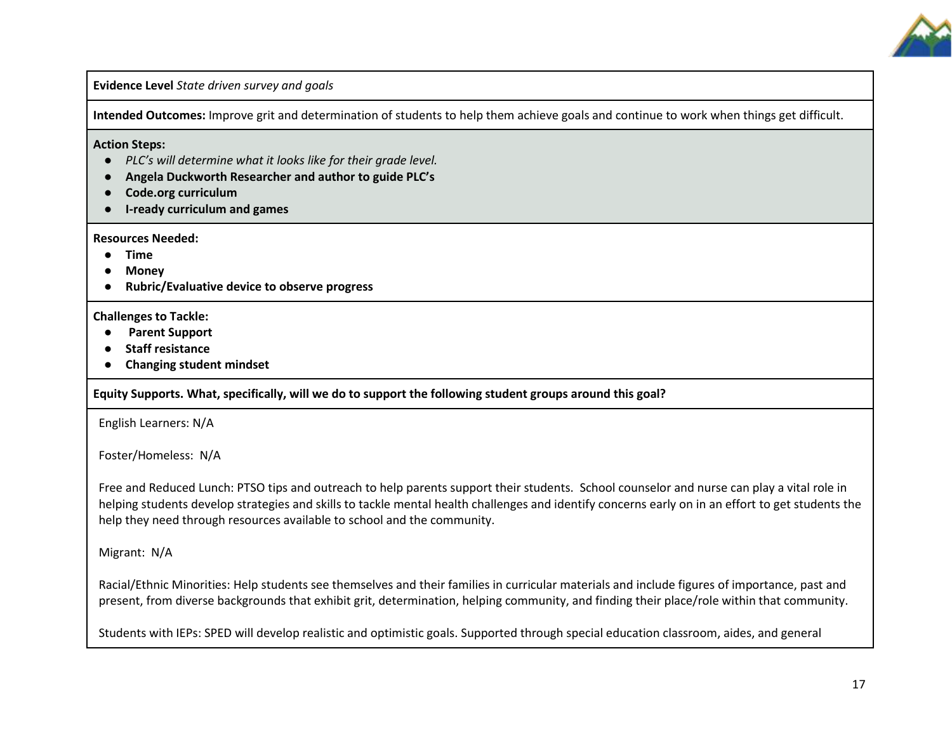

**Evidence Level** *State driven survey and goals*

**Intended Outcomes:** Improve grit and determination of students to help them achieve goals and continue to work when things get difficult.

**Action Steps:** 

- *PLC's will determine what it looks like for their grade level.*
- **Angela Duckworth Researcher and author to guide PLC's**
- **Code.org curriculum**
- **I-ready curriculum and games**

**Resources Needed:** 

- **Time**
- **Money**
- **Rubric/Evaluative device to observe progress**

#### **Challenges to Tackle:**

- **Parent Support**
- **Staff resistance**
- **Changing student mindset**

#### **Equity Supports. What, specifically, will we do to support the following student groups around this goal?**

English Learners: N/A

Foster/Homeless: N/A

Free and Reduced Lunch: PTSO tips and outreach to help parents support their students. School counselor and nurse can play a vital role in helping students develop strategies and skills to tackle mental health challenges and identify concerns early on in an effort to get students the help they need through resources available to school and the community.

Migrant: N/A

Racial/Ethnic Minorities: Help students see themselves and their families in curricular materials and include figures of importance, past and present, from diverse backgrounds that exhibit grit, determination, helping community, and finding their place/role within that community.

Students with IEPs: SPED will develop realistic and optimistic goals. Supported through special education classroom, aides, and general